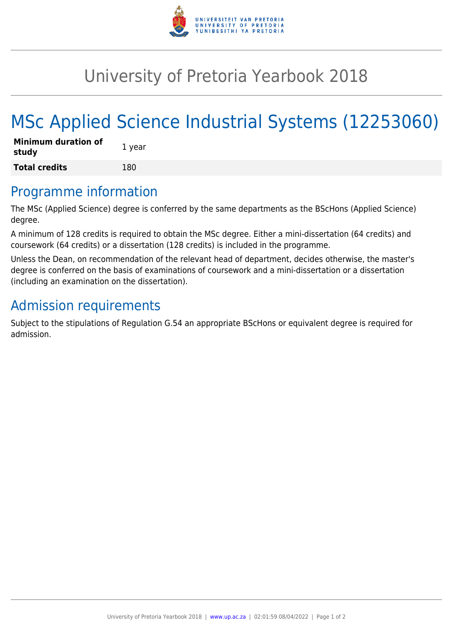

## University of Pretoria Yearbook 2018

# MSc Applied Science Industrial Systems (12253060)

| <b>Minimum duration of</b><br>study | 1 year |
|-------------------------------------|--------|
| <b>Total credits</b>                | 180    |

#### Programme information

The MSc (Applied Science) degree is conferred by the same departments as the BScHons (Applied Science) degree.

A minimum of 128 credits is required to obtain the MSc degree. Either a mini-dissertation (64 credits) and coursework (64 credits) or a dissertation (128 credits) is included in the programme.

Unless the Dean, on recommendation of the relevant head of department, decides otherwise, the master's degree is conferred on the basis of examinations of coursework and a mini-dissertation or a dissertation (including an examination on the dissertation).

## Admission requirements

Subject to the stipulations of Regulation G.54 an appropriate BScHons or equivalent degree is required for admission.